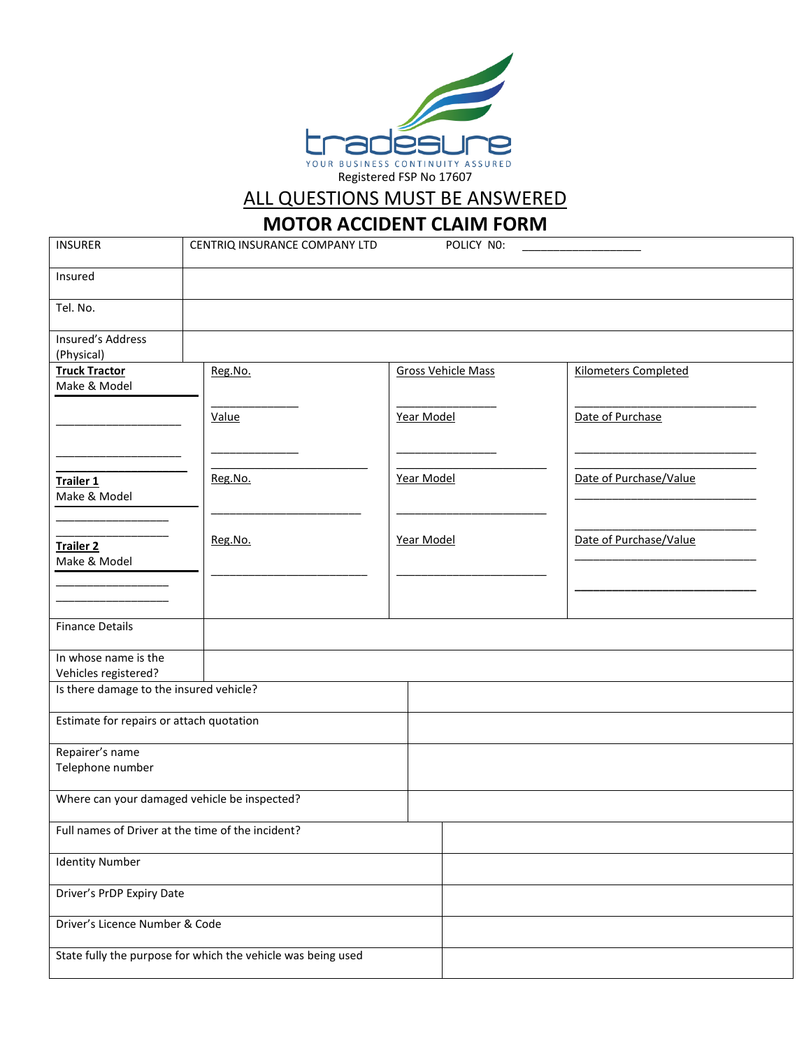

## ALL QUESTIONS MUST BE ANSWERED

## **MOTOR ACCIDENT CLAIM FORM**

| <b>INSURER</b>                                    | CENTRIQ INSURANCE COMPANY LTD                                |  |            | POLICY NO:                |                             |  |
|---------------------------------------------------|--------------------------------------------------------------|--|------------|---------------------------|-----------------------------|--|
| Insured                                           |                                                              |  |            |                           |                             |  |
| Tel. No.                                          |                                                              |  |            |                           |                             |  |
| Insured's Address<br>(Physical)                   |                                                              |  |            |                           |                             |  |
| <b>Truck Tractor</b><br>Make & Model              | Reg.No.                                                      |  |            | <b>Gross Vehicle Mass</b> | <b>Kilometers Completed</b> |  |
|                                                   | Value                                                        |  | Year Model |                           | Date of Purchase            |  |
| Trailer 1<br>Make & Model                         | Reg.No.                                                      |  | Year Model |                           | Date of Purchase/Value      |  |
| <b>Trailer 2</b><br>Make & Model                  | Reg.No.                                                      |  | Year Model |                           | Date of Purchase/Value      |  |
|                                                   |                                                              |  |            |                           |                             |  |
| <b>Finance Details</b>                            |                                                              |  |            |                           |                             |  |
| In whose name is the<br>Vehicles registered?      |                                                              |  |            |                           |                             |  |
| Is there damage to the insured vehicle?           |                                                              |  |            |                           |                             |  |
| Estimate for repairs or attach quotation          |                                                              |  |            |                           |                             |  |
| Repairer's name<br>Telephone number               |                                                              |  |            |                           |                             |  |
| Where can your damaged vehicle be inspected?      |                                                              |  |            |                           |                             |  |
| Full names of Driver at the time of the incident? |                                                              |  |            |                           |                             |  |
| <b>Identity Number</b>                            |                                                              |  |            |                           |                             |  |
| Driver's PrDP Expiry Date                         |                                                              |  |            |                           |                             |  |
| Driver's Licence Number & Code                    |                                                              |  |            |                           |                             |  |
|                                                   | State fully the purpose for which the vehicle was being used |  |            |                           |                             |  |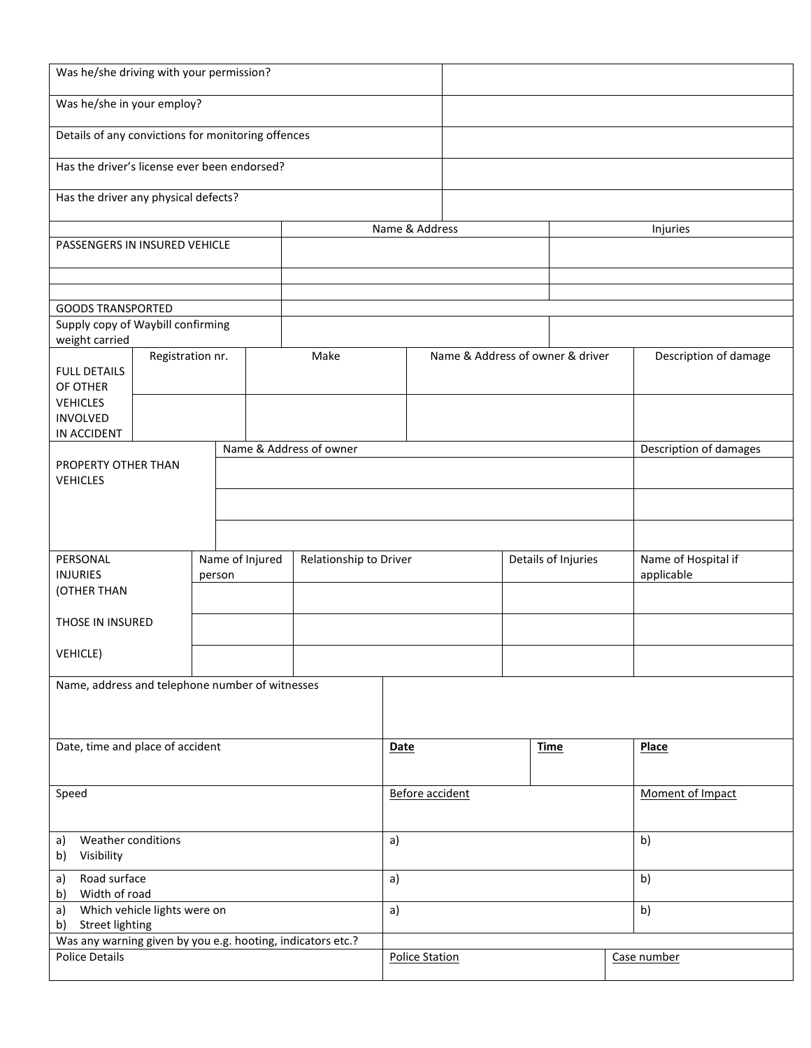| Was he/she driving with your permission?                          |                  |        |                 |                                          |                        |                |             |                     |                       |                                   |                        |
|-------------------------------------------------------------------|------------------|--------|-----------------|------------------------------------------|------------------------|----------------|-------------|---------------------|-----------------------|-----------------------------------|------------------------|
| Was he/she in your employ?                                        |                  |        |                 |                                          |                        |                |             |                     |                       |                                   |                        |
| Details of any convictions for monitoring offences                |                  |        |                 |                                          |                        |                |             |                     |                       |                                   |                        |
| Has the driver's license ever been endorsed?                      |                  |        |                 |                                          |                        |                |             |                     |                       |                                   |                        |
| Has the driver any physical defects?                              |                  |        |                 |                                          |                        |                |             |                     |                       |                                   |                        |
|                                                                   |                  |        |                 |                                          |                        | Name & Address |             |                     |                       | Injuries                          |                        |
| PASSENGERS IN INSURED VEHICLE                                     |                  |        |                 |                                          |                        |                |             |                     |                       |                                   |                        |
|                                                                   |                  |        |                 |                                          |                        |                |             |                     |                       |                                   |                        |
| <b>GOODS TRANSPORTED</b>                                          |                  |        |                 |                                          |                        |                |             |                     |                       |                                   |                        |
| Supply copy of Waybill confirming                                 |                  |        |                 |                                          |                        |                |             |                     |                       |                                   |                        |
| weight carried                                                    |                  |        |                 |                                          |                        |                |             |                     |                       |                                   |                        |
| <b>FULL DETAILS</b><br>OF OTHER                                   | Registration nr. |        |                 | Name & Address of owner & driver<br>Make |                        |                |             |                     | Description of damage |                                   |                        |
| <b>VEHICLES</b>                                                   |                  |        |                 |                                          |                        |                |             |                     |                       |                                   |                        |
| <b>INVOLVED</b>                                                   |                  |        |                 |                                          |                        |                |             |                     |                       |                                   |                        |
| IN ACCIDENT                                                       |                  |        |                 |                                          |                        |                |             |                     |                       |                                   | Description of damages |
| Name & Address of owner<br>PROPERTY OTHER THAN<br><b>VEHICLES</b> |                  |        |                 |                                          |                        |                |             |                     |                       |                                   |                        |
|                                                                   |                  |        |                 |                                          |                        |                |             |                     |                       |                                   |                        |
|                                                                   |                  |        |                 |                                          |                        |                |             |                     |                       |                                   |                        |
|                                                                   |                  |        |                 |                                          |                        |                |             |                     |                       |                                   |                        |
| PERSONAL<br><b>INJURIES</b>                                       |                  | person |                 | Name of Injured                          | Relationship to Driver |                |             | Details of Injuries |                       | Name of Hospital if<br>applicable |                        |
| (OTHER THAN                                                       |                  |        |                 |                                          |                        |                |             |                     |                       |                                   |                        |
| THOSE IN INSURED                                                  |                  |        |                 |                                          |                        |                |             |                     |                       |                                   |                        |
| <b>VEHICLE)</b>                                                   |                  |        |                 |                                          |                        |                |             |                     |                       |                                   |                        |
| Name, address and telephone number of witnesses                   |                  |        |                 |                                          |                        |                |             |                     |                       |                                   |                        |
|                                                                   |                  |        |                 |                                          |                        |                |             |                     |                       |                                   |                        |
| Date, time and place of accident                                  |                  |        |                 | <b>Date</b>                              |                        |                | <b>Time</b> |                     | <b>Place</b>          |                                   |                        |
|                                                                   |                  |        |                 |                                          |                        |                |             |                     |                       |                                   |                        |
| Speed                                                             |                  |        | Before accident |                                          |                        |                |             | Moment of Impact    |                       |                                   |                        |
|                                                                   |                  |        |                 |                                          |                        |                |             |                     |                       |                                   |                        |
| Weather conditions<br>a)<br>Visibility<br>b)                      |                  |        | a)              |                                          |                        |                |             | b)                  |                       |                                   |                        |
| Road surface<br>a)<br>b) Width of road                            |                  |        | a)              |                                          |                        |                |             | b)                  |                       |                                   |                        |
| Which vehicle lights were on<br>a)<br>b) Street lighting          |                  |        | a)              |                                          |                        |                |             | b)                  |                       |                                   |                        |
| Was any warning given by you e.g. hooting, indicators etc.?       |                  |        |                 |                                          |                        |                |             |                     |                       |                                   |                        |
| <b>Police Details</b>                                             |                  |        |                 | <b>Police Station</b>                    |                        |                |             | Case number         |                       |                                   |                        |